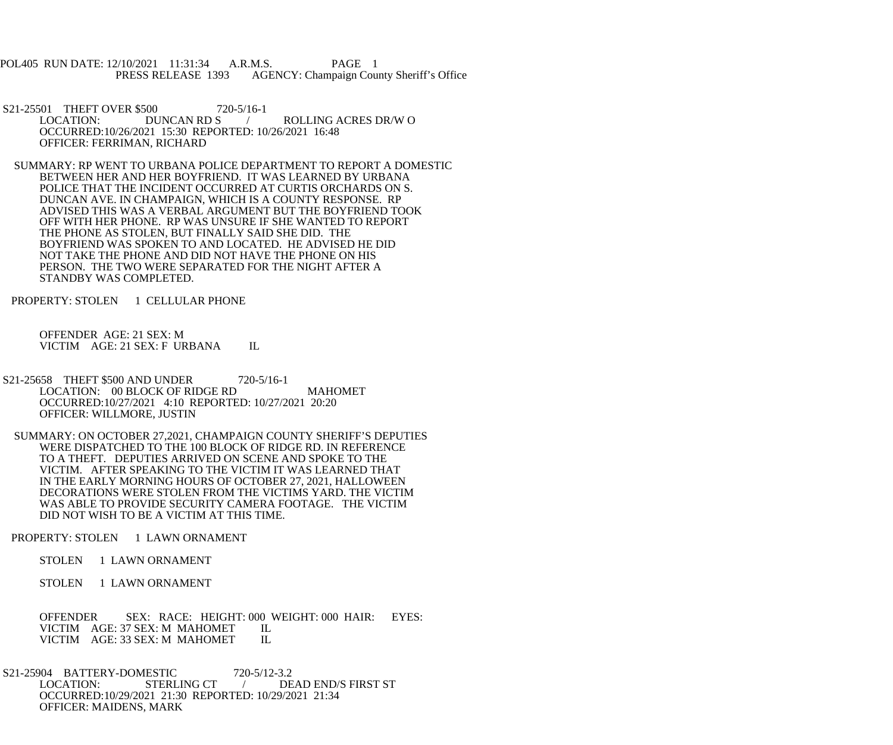POL405 RUN DATE: 12/10/2021 11:31:34 A.R.M.S. PAGE 1<br>PRESS RELEASE 1393 AGENCY: Champaign Cou AGENCY: Champaign County Sheriff's Office

S21-25501 THEFT OVER \$500 720-5/16-1<br>LOCATION: DUNCAN RD S / ROLLING ACRES DR/W O OCCURRED:10/26/2021 15:30 REPORTED: 10/26/2021 16:48 OFFICER: FERRIMAN, RICHARD

 SUMMARY: RP WENT TO URBANA POLICE DEPARTMENT TO REPORT A DOMESTIC BETWEEN HER AND HER BOYFRIEND. IT WAS LEARNED BY URBANA POLICE THAT THE INCIDENT OCCURRED AT CURTIS ORCHARDS ON S. DUNCAN AVE. IN CHAMPAIGN, WHICH IS A COUNTY RESPONSE. RP ADVISED THIS WAS A VERBAL ARGUMENT BUT THE BOYFRIEND TOOK OFF WITH HER PHONE. RP WAS UNSURE IF SHE WANTED TO REPORT THE PHONE AS STOLEN, BUT FINALLY SAID SHE DID. THE BOYFRIEND WAS SPOKEN TO AND LOCATED. HE ADVISED HE DID NOT TAKE THE PHONE AND DID NOT HAVE THE PHONE ON HIS PERSON. THE TWO WERE SEPARATED FOR THE NIGHT AFTER A STANDBY WAS COMPLETED.

PROPERTY: STOLEN 1 CELLULAR PHONE

 OFFENDER AGE: 21 SEX: M VICTIM AGE: 21 SEX: F URBANA IL

S21-25658 THEFT \$500 AND UNDER 720-5/16-1 LOCATION: 00 BLOCK OF RIDGE RD MAHOMET OCCURRED:10/27/2021 4:10 REPORTED: 10/27/2021 20:20 OFFICER: WILLMORE, JUSTIN

 SUMMARY: ON OCTOBER 27,2021, CHAMPAIGN COUNTY SHERIFF'S DEPUTIES WERE DISPATCHED TO THE 100 BLOCK OF RIDGE RD. IN REFERENCE TO A THEFT. DEPUTIES ARRIVED ON SCENE AND SPOKE TO THE VICTIM. AFTER SPEAKING TO THE VICTIM IT WAS LEARNED THAT IN THE EARLY MORNING HOURS OF OCTOBER 27, 2021, HALLOWEEN DECORATIONS WERE STOLEN FROM THE VICTIMS YARD. THE VICTIM WAS ABLE TO PROVIDE SECURITY CAMERA FOOTAGE. THE VICTIM DID NOT WISH TO BE A VICTIM AT THIS TIME.

PROPERTY: STOLEN 1 LAWN ORNAMENT

STOLEN 1 LAWN ORNAMENT

STOLEN 1 LAWN ORNAMENT

 OFFENDER SEX: RACE: HEIGHT: 000 WEIGHT: 000 HAIR: EYES: VICTIM AGE: 37 SEX: M MAHOMET IL<br>VICTIM AGE: 33 SEX: M MAHOMET IL VICTIM AGE: 33 SEX: M MAHOMET

S21-25904 BATTERY-DOMESTIC 720-5/12-3.2<br>LOCATION: STERLING CT / DE / DEAD END/S FIRST ST OCCURRED:10/29/2021 21:30 REPORTED: 10/29/2021 21:34 OFFICER: MAIDENS, MARK